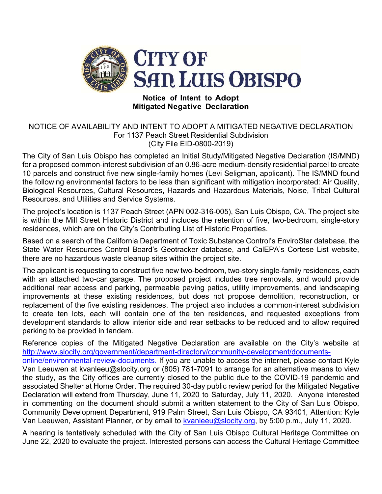

## **Notice of Intent to Adopt Mitigated Negative Declaration**

## NOTICE OF AVAILABILITY AND INTENT TO ADOPT A MITIGATED NEGATIVE DECLARATION For 1137 Peach Street Residential Subdivision (City File EID-0800-2019)

The City of San Luis Obispo has completed an Initial Study/Mitigated Negative Declaration (IS/MND) for a proposed common-interest subdivision of an 0.86-acre medium-density residential parcel to create 10 parcels and construct five new single-family homes (Levi Seligman, applicant). The IS/MND found the following environmental factors to be less than significant with mitigation incorporated: Air Quality, Biological Resources, Cultural Resources, Hazards and Hazardous Materials, Noise, Tribal Cultural Resources, and Utilities and Service Systems.

The project's location is 1137 Peach Street (APN 002-316-005), San Luis Obispo, CA. The project site is within the Mill Street Historic District and includes the retention of five, two-bedroom, single-story residences, which are on the City's Contributing List of Historic Properties.

Based on a search of the California Department of Toxic Substance Control's EnviroStar database, the State Water Resources Control Board's Geotracker database, and CalEPA's Cortese List website, there are no hazardous waste cleanup sites within the project site.

The applicant is requesting to construct five new two-bedroom, two-story single-family residences, each with an attached two-car garage. The proposed project includes tree removals, and would provide additional rear access and parking, permeable paving patios, utility improvements, and landscaping improvements at these existing residences, but does not propose demolition, reconstruction, or replacement of the five existing residences. The project also includes a common-interest subdivision to create ten lots, each will contain one of the ten residences, and requested exceptions from development standards to allow interior side and rear setbacks to be reduced and to allow required parking to be provided in tandem.

Reference copies of the Mitigated Negative Declaration are available on the City's website at http://www.slocity.org/government/department-directory/community-development/documentsonline/environmental-review-documents. If you are unable to access the internet, please contact Kyle Van Leeuwen at kvanleeu@slocity.org or (805) 781-7091 to arrange for an alternative means to view the study, as the City offices are currently closed to the public due to the COVID-19 pandemic and associated Shelter at Home Order. The required 30-day public review period for the Mitigated Negative Declaration will extend from Thursday, June 11, 2020 to Saturday, July 11, 2020. Anyone interested in commenting on the document should submit a written statement to the City of San Luis Obispo, Community Development Department, 919 Palm Street, San Luis Obispo, CA 93401, Attention: Kyle Van Leeuwen, Assistant Planner, or by email to kvanleeu@slocity.org, by 5:00 p.m., July 11, 2020.

A hearing is tentatively scheduled with the City of San Luis Obispo Cultural Heritage Committee on June 22, 2020 to evaluate the project. Interested persons can access the Cultural Heritage Committee